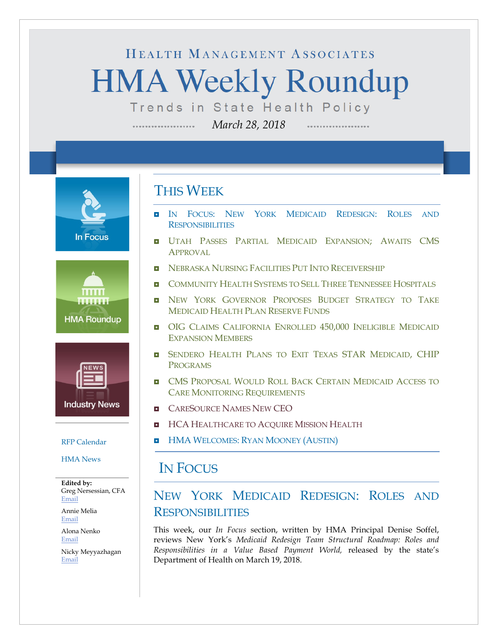# HEALTH MANAGEMENT ASSOCIATES **HMA Weekly Roundup** Trends in State Health Policy

*March 28, 2018*

**In Focus** 





#### [RFP Calendar](#page-15-0)

[HMA News](#page-16-0)

**Edited by:** Greg Nersessian, CFA [Email](mailto:gnersessian@healthmanagement.com)

Annie Melia [Email](mailto:amelia@healthmanagement.com)

Alona Nenko [Email](mailto:anenko@healthmanagement.com)

Nicky Meyyazhagan [Email](mailto:nmeyyazhagan@healthmanagement.com)

## THIS WEEK

--------------------

 IN FOCUS: [NEW YORK MEDICAID REDESIGN:](#page-0-0) ROLES AND **[RESPONSIBILITIES](#page-0-0)** 

..................

- **[UTAH PASSES PARTIAL MEDICAID EXPANSION;](#page-11-0) AWAITS CMS** [APPROVAL](#page-11-0)
- **[NEBRASKA NURSING FACILITIES PUT INTO RECEIVERSHIP](#page-7-0)**
- **D** [COMMUNITY HEALTH SYSTEMS TO SELL THREE TENNESSEE HOSPITALS](#page-10-0)
- **NEW YORK GOVERNOR PROPOSES BUDGET STRATEGY TO TAKE** [MEDICAID HEALTH PLAN RESERVE FUNDS](#page-8-0)
- **OIG [CLAIMS CALIFORNIA ENROLLED 450,000](#page-6-0) INELIGIBLE MEDICAID** [EXPANSION MEMBERS](#page-6-0)
- **B** [SENDERO HEALTH PLANS TO EXIT TEXAS STAR](#page-11-1) MEDICAID, CHIP [PROGRAMS](#page-11-1)
- **D** CMS PROPOSAL WOULD ROLL BACK CERTAIN MEDICAID ACCESS TO [CARE MONITORING REQUIREMENTS](#page-11-2)
- **E** [CARESOURCE NAMES NEW CEO](#page-14-0)
- **HCA [HEALTHCARE TO ACQUIRE MISSION HEALTH](#page-14-0)**
- **HMA WELCOMES: [RYAN MOONEY](#page-17-0) (AUSTIN)**

### <span id="page-0-0"></span>IN FOCUS

### NEW YORK MEDICAID REDESIGN: ROLES AND RESPONSIBILITIES

This week, our *In Focus* section, written by HMA Principal Denise Soffel, reviews New York's *Medicaid Redesign Team Structural Roadmap: Roles and Responsibilities in a Value Based Payment World,* released by the state's Department of Health on March 19, 2018.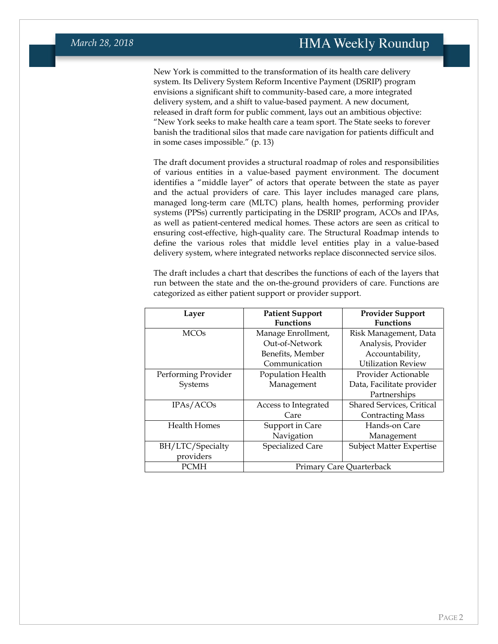New York is committed to the transformation of its health care delivery system. Its Delivery System Reform Incentive Payment (DSRIP) program envisions a significant shift to community-based care, a more integrated delivery system, and a shift to value-based payment. A new document, released in draft form for public comment, lays out an ambitious objective: "New York seeks to make health care a team sport. The State seeks to forever banish the traditional silos that made care navigation for patients difficult and in some cases impossible." (p. 13)

The draft document provides a structural roadmap of roles and responsibilities of various entities in a value-based payment environment. The document identifies a "middle layer" of actors that operate between the state as payer and the actual providers of care. This layer includes managed care plans, managed long-term care (MLTC) plans, health homes, performing provider systems (PPSs) currently participating in the DSRIP program, ACOs and IPAs, as well as patient-centered medical homes. These actors are seen as critical to ensuring cost-effective, high-quality care. The Structural Roadmap intends to define the various roles that middle level entities play in a value-based delivery system, where integrated networks replace disconnected service silos.

The draft includes a chart that describes the functions of each of the layers that run between the state and the on-the-ground providers of care. Functions are categorized as either patient support or provider support.

| Layer                  | <b>Patient Support</b>   | <b>Provider Support</b>         |
|------------------------|--------------------------|---------------------------------|
|                        | <b>Functions</b>         | <b>Functions</b>                |
| <b>MCO<sub>s</sub></b> | Manage Enrollment,       | Risk Management, Data           |
|                        | Out-of-Network           | Analysis, Provider              |
|                        | Benefits, Member         | Accountability,                 |
|                        | Communication            | <b>Utilization Review</b>       |
| Performing Provider    | Population Health        | Provider Actionable             |
| Systems                | Management               | Data, Facilitate provider       |
|                        |                          | Partnerships                    |
| IPAs/ACOs              | Access to Integrated     | Shared Services, Critical       |
|                        | Care                     | <b>Contracting Mass</b>         |
| <b>Health Homes</b>    | Support in Care          | Hands-on Care                   |
|                        | Navigation               | Management                      |
| BH/LTC/Specialty       | Specialized Care         | <b>Subject Matter Expertise</b> |
| providers              |                          |                                 |
| <b>PCMH</b>            | Primary Care Quarterback |                                 |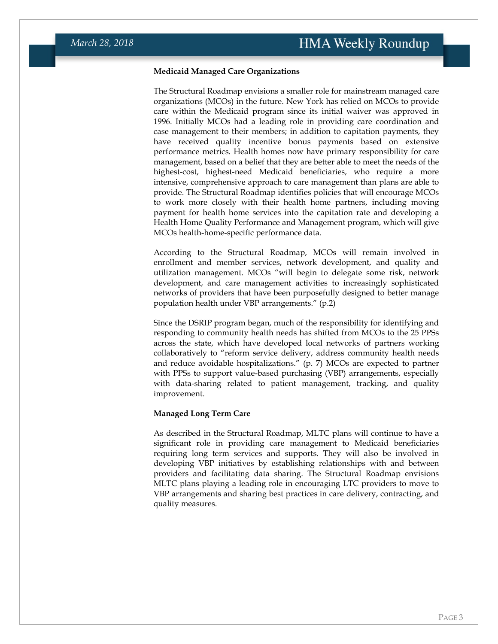#### **Medicaid Managed Care Organizations**

The Structural Roadmap envisions a smaller role for mainstream managed care organizations (MCOs) in the future. New York has relied on MCOs to provide care within the Medicaid program since its initial waiver was approved in 1996. Initially MCOs had a leading role in providing care coordination and case management to their members; in addition to capitation payments, they have received quality incentive bonus payments based on extensive performance metrics. Health homes now have primary responsibility for care management, based on a belief that they are better able to meet the needs of the highest-cost, highest-need Medicaid beneficiaries, who require a more intensive, comprehensive approach to care management than plans are able to provide. The Structural Roadmap identifies policies that will encourage MCOs to work more closely with their health home partners, including moving payment for health home services into the capitation rate and developing a Health Home Quality Performance and Management program, which will give MCOs health-home-specific performance data.

According to the Structural Roadmap, MCOs will remain involved in enrollment and member services, network development, and quality and utilization management. MCOs "will begin to delegate some risk, network development, and care management activities to increasingly sophisticated networks of providers that have been purposefully designed to better manage population health under VBP arrangements." (p.2)

Since the DSRIP program began, much of the responsibility for identifying and responding to community health needs has shifted from MCOs to the 25 PPSs across the state, which have developed local networks of partners working collaboratively to "reform service delivery, address community health needs and reduce avoidable hospitalizations." (p. 7) MCOs are expected to partner with PPSs to support value-based purchasing (VBP) arrangements, especially with data-sharing related to patient management, tracking, and quality improvement.

#### **Managed Long Term Care**

As described in the Structural Roadmap, MLTC plans will continue to have a significant role in providing care management to Medicaid beneficiaries requiring long term services and supports. They will also be involved in developing VBP initiatives by establishing relationships with and between providers and facilitating data sharing. The Structural Roadmap envisions MLTC plans playing a leading role in encouraging LTC providers to move to VBP arrangements and sharing best practices in care delivery, contracting, and quality measures.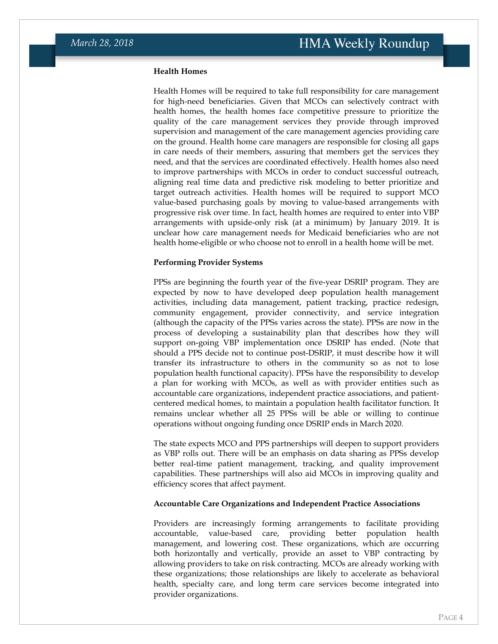#### **Health Homes**

Health Homes will be required to take full responsibility for care management for high-need beneficiaries. Given that MCOs can selectively contract with health homes, the health homes face competitive pressure to prioritize the quality of the care management services they provide through improved supervision and management of the care management agencies providing care on the ground. Health home care managers are responsible for closing all gaps in care needs of their members, assuring that members get the services they need, and that the services are coordinated effectively. Health homes also need to improve partnerships with MCOs in order to conduct successful outreach, aligning real time data and predictive risk modeling to better prioritize and target outreach activities. Health homes will be required to support MCO value-based purchasing goals by moving to value-based arrangements with progressive risk over time. In fact, health homes are required to enter into VBP arrangements with upside-only risk (at a minimum) by January 2019. It is unclear how care management needs for Medicaid beneficiaries who are not health home-eligible or who choose not to enroll in a health home will be met.

#### **Performing Provider Systems**

PPSs are beginning the fourth year of the five-year DSRIP program. They are expected by now to have developed deep population health management activities, including data management, patient tracking, practice redesign, community engagement, provider connectivity, and service integration (although the capacity of the PPSs varies across the state). PPSs are now in the process of developing a sustainability plan that describes how they will support on-going VBP implementation once DSRIP has ended. (Note that should a PPS decide not to continue post-DSRIP, it must describe how it will transfer its infrastructure to others in the community so as not to lose population health functional capacity). PPSs have the responsibility to develop a plan for working with MCOs, as well as with provider entities such as accountable care organizations, independent practice associations, and patientcentered medical homes, to maintain a population health facilitator function. It remains unclear whether all 25 PPSs will be able or willing to continue operations without ongoing funding once DSRIP ends in March 2020.

The state expects MCO and PPS partnerships will deepen to support providers as VBP rolls out. There will be an emphasis on data sharing as PPSs develop better real-time patient management, tracking, and quality improvement capabilities. These partnerships will also aid MCOs in improving quality and efficiency scores that affect payment.

#### **Accountable Care Organizations and Independent Practice Associations**

Providers are increasingly forming arrangements to facilitate providing accountable, value-based care, providing better population health management, and lowering cost. These organizations, which are occurring both horizontally and vertically, provide an asset to VBP contracting by allowing providers to take on risk contracting. MCOs are already working with these organizations; those relationships are likely to accelerate as behavioral health, specialty care, and long term care services become integrated into provider organizations.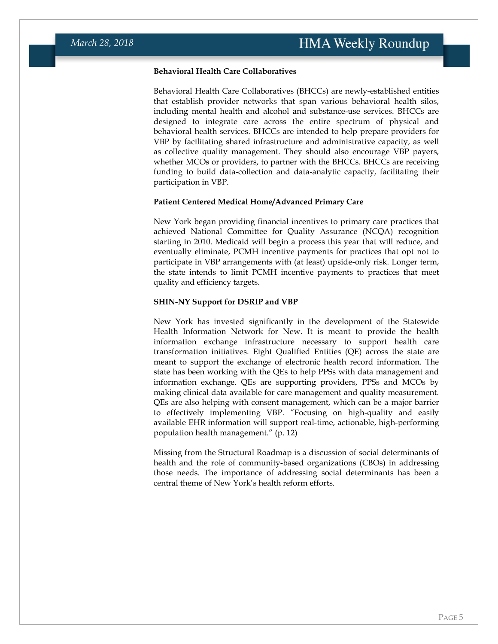### **Behavioral Health Care Collaboratives**

Behavioral Health Care Collaboratives (BHCCs) are newly-established entities that establish provider networks that span various behavioral health silos, including mental health and alcohol and substance-use services. BHCCs are designed to integrate care across the entire spectrum of physical and behavioral health services. BHCCs are intended to help prepare providers for VBP by facilitating shared infrastructure and administrative capacity, as well as collective quality management. They should also encourage VBP payers, whether MCOs or providers, to partner with the BHCCs. BHCCs are receiving funding to build data-collection and data-analytic capacity, facilitating their participation in VBP.

#### **Patient Centered Medical Home/Advanced Primary Care**

New York began providing financial incentives to primary care practices that achieved National Committee for Quality Assurance (NCQA) recognition starting in 2010. Medicaid will begin a process this year that will reduce, and eventually eliminate, PCMH incentive payments for practices that opt not to participate in VBP arrangements with (at least) upside-only risk. Longer term, the state intends to limit PCMH incentive payments to practices that meet quality and efficiency targets.

#### **SHIN-NY Support for DSRIP and VBP**

New York has invested significantly in the development of the Statewide Health Information Network for New. It is meant to provide the health information exchange infrastructure necessary to support health care transformation initiatives. Eight Qualified Entities (QE) across the state are meant to support the exchange of electronic health record information. The state has been working with the QEs to help PPSs with data management and information exchange. QEs are supporting providers, PPSs and MCOs by making clinical data available for care management and quality measurement. QEs are also helping with consent management, which can be a major barrier to effectively implementing VBP. "Focusing on high-quality and easily available EHR information will support real-time, actionable, high-performing population health management." (p. 12)

Missing from the Structural Roadmap is a discussion of social determinants of health and the role of community-based organizations (CBOs) in addressing those needs. The importance of addressing social determinants has been a central theme of New York's health reform efforts.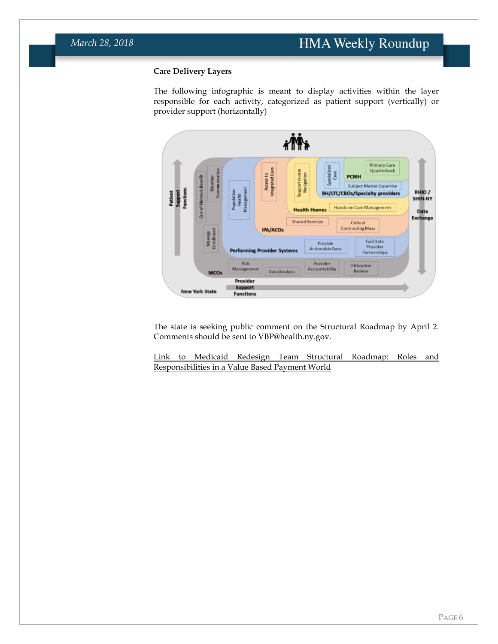### **Care Delivery Layers**

The following infographic is meant to display activities within the layer responsible for each activity, categorized as patient support (vertically) or provider support (horizontally)



The state is seeking public comment on the Structural Roadmap by April 2. Comments should be sent to VBP@health.ny.gov.

[Link to Medicaid Redesign Team Structural Roadmap: Roles and](https://www.healthmanagement.com/wp-content/uploads/Medicaid-Redesign-Team-Structural-Roadmap-03.19.2018.pdf)  [Responsibilities in a Value Based Payment World](https://www.healthmanagement.com/wp-content/uploads/Medicaid-Redesign-Team-Structural-Roadmap-03.19.2018.pdf)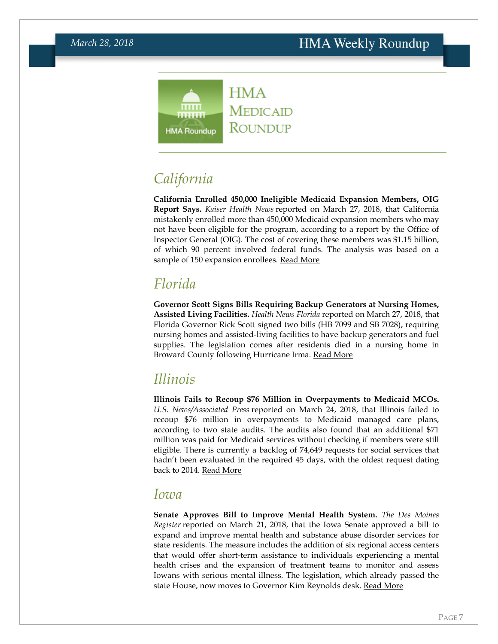

<span id="page-6-0"></span>*California*

**California Enrolled 450,000 Ineligible Medicaid Expansion Members, OIG Report Says.** *Kaiser Health News* reported on March 27, 2018, that California mistakenly enrolled more than 450,000 Medicaid expansion members who may not have been eligible for the program, according to a report by the Office of Inspector General (OIG). The cost of covering these members was \$1.15 billion, of which 90 percent involved federal funds. The analysis was based on a sample of 150 expansion enrollees. [Read More](https://khn.org/news/thousands-mistakenly-enrolled-during-californias-medicaid-expansion-feds-find/)

## *Florida*

**Governor Scott Signs Bills Requiring Backup Generators at Nursing Homes, Assisted Living Facilities.** *Health News Florida* reported on March 27, 2018, that Florida Governor Rick Scott signed two bills (HB 7099 and SB 7028), requiring nursing homes and assisted-living facilities to have backup generators and fuel supplies. The legislation comes after residents died in a nursing home in Broward County following Hurricane Irma. [Read More](http://health.wusf.usf.edu/post/bills-ratifying-generator-requirements-now-law#stream/0)

### *Illinois*

**Illinois Fails to Recoup \$76 Million in Overpayments to Medicaid MCOs.** *U.S. News/Associated Press* reported on March 24, 2018, that Illinois failed to recoup \$76 million in overpayments to Medicaid managed care plans, according to two state audits. The audits also found that an additional \$71 million was paid for Medicaid services without checking if members were still eligible. There is currently a backlog of 74,649 requests for social services that hadn't been evaluated in the required 45 days, with the oldest request dating back to 2014. [Read More](https://www.usnews.com/news/best-states/illinois/articles/2018-03-24/illinois-fails-to-recoup-76-million-in-medicaid-overpayment)

### *Iowa*

**Senate Approves Bill to Improve Mental Health System.** *The Des Moines Register* reported on March 21, 2018, that the Iowa Senate approved a bill to expand and improve mental health and substance abuse disorder services for state residents. The measure includes the addition of six regional access centers that would offer short-term assistance to individuals experiencing a mental health crises and the expansion of treatment teams to monitor and assess Iowans with serious mental illness. The legislation, which already passed the state House, now moves to Governor Kim Reynolds desk. [Read More](https://www.desmoinesregister.com/story/news/politics/2018/03/21/iowa-mental-health-bill-headed-kim-reynolds-desk/444862002/)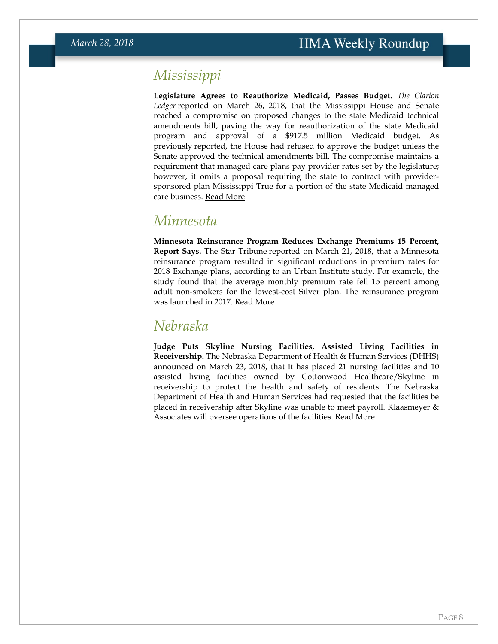## *Mississippi*

**Legislature Agrees to Reauthorize Medicaid, Passes Budget.** *The Clarion Ledger* reported on March 26, 2018, that the Mississippi House and Senate reached a compromise on proposed changes to the state Medicaid technical amendments bill, paving the way for reauthorization of the state Medicaid program and approval of a \$917.5 million Medicaid budget. As previously [reported,](https://hmais.healthmanagement.com/mississippi/ms-house-demands-senate-agree-on-medicaid-technical-amendments-bill-or-risk-medicaid-budget/) the House had refused to approve the budget unless the Senate approved the technical amendments bill. The compromise maintains a requirement that managed care plans pay provider rates set by the legislature; however, it omits a proposal requiring the state to contract with providersponsored plan Mississippi True for a portion of the state Medicaid managed care business. [Read More](https://www.clarionledger.com/story/news/politics/2018/03/26/lawmakers-strike-medicaid-deal-last-minute-usher-budget-passage/458554002/)

### *Minnesota*

**Minnesota Reinsurance Program Reduces Exchange Premiums 15 Percent, Report Says.** The Star Tribune reported on March 21, 2018, that a Minnesota reinsurance program resulted in significant reductions in premium rates for 2018 Exchange plans, according to an Urban Institute study. For example, the study found that the average monthly premium rate fell 15 percent among adult non-smokers for the lowest-cost Silver plan. The reinsurance program was launched in 2017. [Read More](http://www.startribune.com/mnsure-premiums-drop-with-reinsurance/477552053/)

## <span id="page-7-0"></span>*Nebraska*

**Judge Puts Skyline Nursing Facilities, Assisted Living Facilities in Receivership.** The Nebraska Department of Health & Human Services (DHHS) announced on March 23, 2018, that it has placed 21 nursing facilities and 10 assisted living facilities owned by Cottonwood Healthcare/Skyline in receivership to protect the health and safety of residents. The Nebraska Department of Health and Human Services had requested that the facilities be placed in receivership after Skyline was unable to meet payroll. Klaasmeyer & Associates will oversee operations of the facilities. [Read More](http://dhhs.ne.gov/Pages/newsroom_2018_March_Skyline_Facilities.aspx)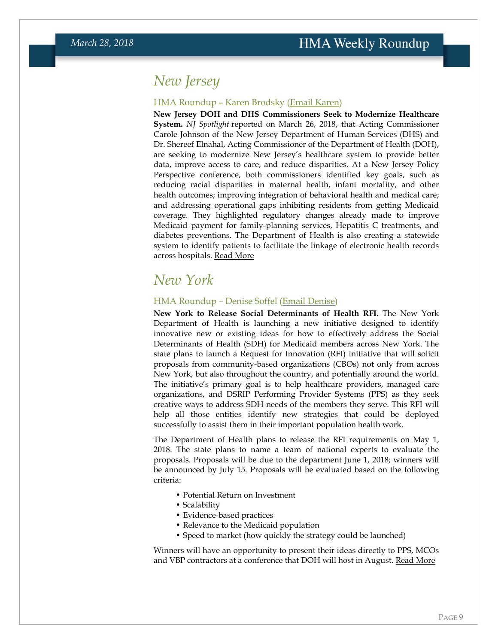## *New Jersey*

### HMA Roundup – Karen Brodsky [\(Email Karen\)](mailto:kbrodsky@healthmanagement.com)

**New Jersey DOH and DHS Commissioners Seek to Modernize Healthcare System.** *NJ Spotlight* reported on March 26, 2018, that Acting Commissioner Carole Johnson of the New Jersey Department of Human Services (DHS) and Dr. Shereef Elnahal, Acting Commissioner of the Department of Health (DOH), are seeking to modernize New Jersey's healthcare system to provide better data, improve access to care, and reduce disparities. At a New Jersey Policy Perspective conference, both commissioners identified key goals, such as reducing racial disparities in maternal health, infant mortality, and other health outcomes; improving integration of behavioral health and medical care; and addressing operational gaps inhibiting residents from getting Medicaid coverage. They highlighted regulatory changes already made to improve Medicaid payment for family-planning services, Hepatitis C treatments, and diabetes preventions. The Department of Health is also creating a statewide system to identify patients to facilitate the linkage of electronic health records across hospitals. [Read More](http://www.njspotlight.com/stories/18/03/25/better-data-better-access-fewer-disparities-among-nj-s-healthcare-goals/)

### <span id="page-8-0"></span>*New York*

### HMA Roundup – Denise Soffel [\(Email Denise\)](mailto:dsoffel@healthmanagement.com)

**New York to Release Social Determinants of Health RFI.** The New York Department of Health is launching a new initiative designed to identify innovative new or existing ideas for how to effectively address the Social Determinants of Health (SDH) for Medicaid members across New York. The state plans to launch a Request for Innovation (RFI) initiative that will solicit proposals from community-based organizations (CBOs) not only from across New York, but also throughout the country, and potentially around the world. The initiative's primary goal is to help healthcare providers, managed care organizations, and DSRIP Performing Provider Systems (PPS) as they seek creative ways to address SDH needs of the members they serve. This RFI will help all those entities identify new strategies that could be deployed successfully to assist them in their important population health work.

The Department of Health plans to release the RFI requirements on May 1, 2018. The state plans to name a team of national experts to evaluate the proposals. Proposals will be due to the department June 1, 2018; winners will be announced by July 15. Proposals will be evaluated based on the following criteria:

- Potential Return on Investment
- Scalability
- Evidence-based practices
- Relevance to the Medicaid population
- Speed to market (how quickly the strategy could be launched)

Winners will have an opportunity to present their ideas directly to PPS, MCOs and VBP contractors at a conference that DOH will host in August. [Read More](https://www.nyaprs.org/e-news-bulletins/2018/3/22/doh-seeks-to-identify-innovative-social-determinants-of-health-related-initiatives)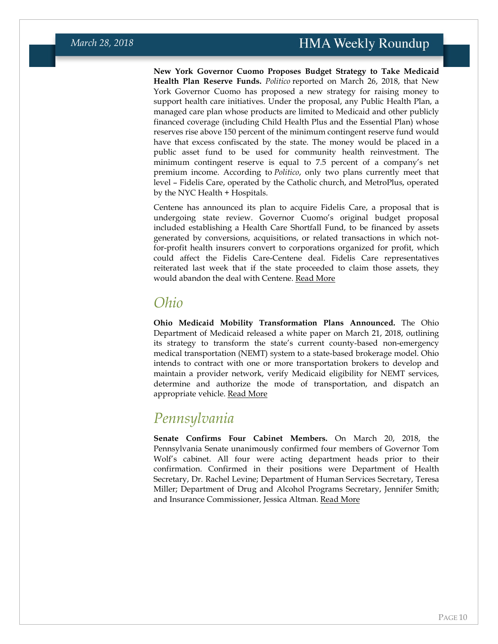**New York Governor Cuomo Proposes Budget Strategy to Take Medicaid Health Plan Reserve Funds.** *Politico* reported on March 26, 2018, that New York Governor Cuomo has proposed a new strategy for raising money to support health care initiatives. Under the proposal, any Public Health Plan, a managed care plan whose products are limited to Medicaid and other publicly financed coverage (including Child Health Plus and the Essential Plan) whose reserves rise above 150 percent of the minimum contingent reserve fund would have that excess confiscated by the state. The money would be placed in a public asset fund to be used for community health reinvestment. The minimum contingent reserve is equal to 7.5 percent of a company's net premium income. According to *Politico*, only two plans currently meet that level – Fidelis Care, operated by the Catholic church, and MetroPlus, operated by the NYC Health + Hospitals.

Centene has announced its plan to acquire Fidelis Care, a proposal that is undergoing state review. Governor Cuomo's original budget proposal included establishing a Health Care Shortfall Fund, to be financed by assets generated by conversions, acquisitions, or related transactions in which notfor-profit health insurers convert to corporations organized for profit, which could affect the Fidelis Care-Centene deal. Fidelis Care representatives reiterated last week that if the state proceeded to claim those assets, they would abandon the deal with Centene. [Read More](https://www.politico.com/states/new-york/city-hall/story/2018/03/26/cuomos-latest-proposal-would-hit-fidelis-metroplus-329951)

### *Ohio*

**Ohio Medicaid Mobility Transformation Plans Announced.** The Ohio Department of Medicaid released a white paper on March 21, 2018, outlining its strategy to transform the state's current county-based non-emergency medical transportation (NEMT) system to a state-based brokerage model. Ohio intends to contract with one or more transportation brokers to develop and maintain a provider network, verify Medicaid eligibility for NEMT services, determine and authorize the mode of transportation, and dispatch an appropriate vehicle. [Read More](http://www.medicaid.ohio.gov/Portals/0/Home/NEMT-White-Paper.pdf?ver=2018-03-21-124309-673)

### *Pennsylvania*

**Senate Confirms Four Cabinet Members.** On March 20, 2018, the Pennsylvania Senate unanimously confirmed four members of Governor Tom Wolf's cabinet. All four were acting department heads prior to their confirmation. Confirmed in their positions were Department of Health Secretary, Dr. Rachel Levine; Department of Human Services Secretary, Teresa Miller; Department of Drug and Alcohol Programs Secretary, Jennifer Smith; and Insurance Commissioner, Jessica Altman. [Read More](https://www.governor.pa.gov/governor-wolfs-statement-confirmation-health-human-services-drug-alcohol-programs-secretaries-insurance-commissioner/)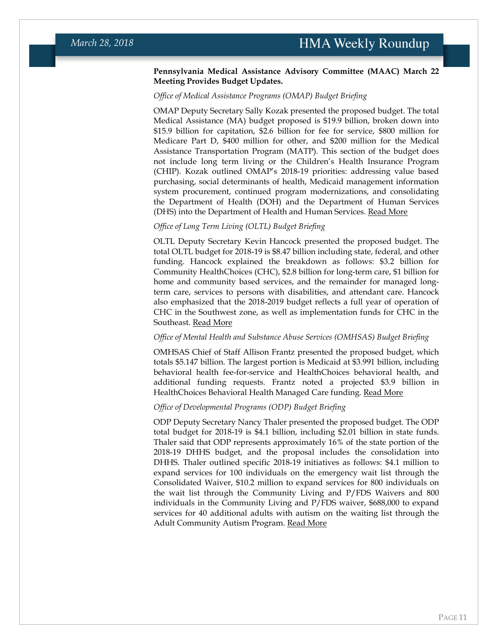### **Pennsylvania Medical Assistance Advisory Committee (MAAC) March 22 Meeting Provides Budget Updates.**

### *Office of Medical Assistance Programs (OMAP) Budget Briefing*

OMAP Deputy Secretary Sally Kozak presented the proposed budget. The total Medical Assistance (MA) budget proposed is \$19.9 billion, broken down into \$15.9 billion for capitation, \$2.6 billion for fee for service, \$800 million for Medicare Part D, \$400 million for other, and \$200 million for the Medical Assistance Transportation Program (MATP). This section of the budget does not include long term living or the Children's Health Insurance Program (CHIP). Kozak outlined OMAP's 2018-19 priorities: addressing value based purchasing, social determinants of health, Medicaid management information system procurement, continued program modernizations, and consolidating the Department of Health (DOH) and the Department of Human Services (DHS) into the Department of Health and Human Services. [Read More](http://wallaby.telicon.com/PA/library/2018/20180322TX.PDF)

### *Office of Long Term Living (OLTL) Budget Briefing*

OLTL Deputy Secretary Kevin Hancock presented the proposed budget. The total OLTL budget for 2018-19 is \$8.47 billion including state, federal, and other funding. Hancock explained the breakdown as follows: \$3.2 billion for Community HealthChoices (CHC), \$2.8 billion for long-term care, \$1 billion for home and community based services, and the remainder for managed longterm care, services to persons with disabilities, and attendant care. Hancock also emphasized that the 2018-2019 budget reflects a full year of operation of CHC in the Southwest zone, as well as implementation funds for CHC in the Southeast. [Read More](http://wallaby.telicon.com/PA/library/2018/20180322TW.PDF)

### *Office of Mental Health and Substance Abuse Services (OMHSAS) Budget Briefing*

OMHSAS Chief of Staff Allison Frantz presented the proposed budget, which totals \$5.147 billion. The largest portion is Medicaid at \$3.991 billion, including behavioral health fee-for-service and HealthChoices behavioral health, and additional funding requests. Frantz noted a projected \$3.9 billion in HealthChoices Behavioral Health Managed Care funding. [Read More](http://wallaby.telicon.com/PA/library/2018/20180322TY.PDF)

### *Office of Developmental Programs (ODP) Budget Briefing*

<span id="page-10-0"></span>ODP Deputy Secretary Nancy Thaler presented the proposed budget. The ODP total budget for 2018-19 is \$4.1 billion, including \$2.01 billion in state funds. Thaler said that ODP represents approximately 16% of the state portion of the 2018-19 DHHS budget, and the proposal includes the consolidation into DHHS. Thaler outlined specific 2018-19 initiatives as follows: \$4.1 million to expand services for 100 individuals on the emergency wait list through the Consolidated Waiver, \$10.2 million to expand services for 800 individuals on the wait list through the Community Living and P/FDS Waivers and 800 individuals in the Community Living and P/FDS waiver, \$688,000 to expand services for 40 additional adults with autism on the waiting list through the Adult Community Autism Program. [Read More](http://wallaby.telicon.com/PA/library/2018/20180322TV.PDF)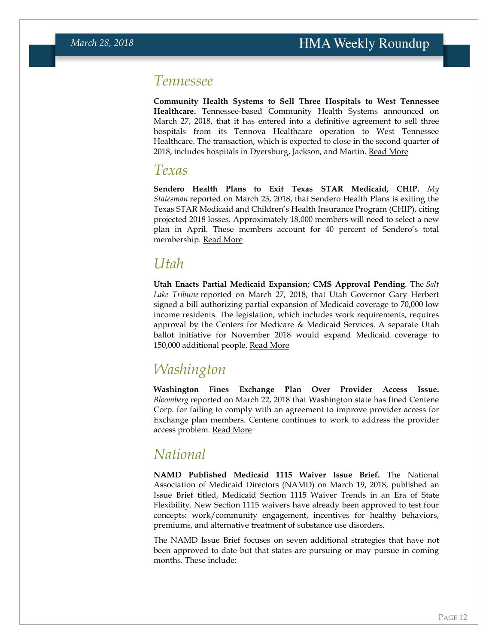### *Tennessee*

**Community Health Systems to Sell Three Hospitals to West Tennessee Healthcare.** Tennessee-based Community Health Systems announced on March 27, 2018, that it has entered into a definitive agreement to sell three hospitals from its Tennova Healthcare operation to West Tennessee Healthcare. The transaction, which is expected to close in the second quarter of 2018, includes hospitals in Dyersburg, Jackson, and Martin. [Read More](http://chsnet.gcs-web.com/news-releases/news-release-details/community-health-systems-announces-definitive-agreement-sell-5/)

### <span id="page-11-1"></span>*Texas*

**Sendero Health Plans to Exit Texas STAR Medicaid, CHIP.** *My Statesman* reported on March 23, 2018, that Sendero Health Plans is exiting the Texas STAR Medicaid and Children's Health Insurance Program (CHIP), citing projected 2018 losses. Approximately 18,000 members will need to select a new plan in April. These members account for 40 percent of Sendero's total membership. [Read More](https://www.mystatesman.com/news/local/sendero-health-plans-withdraw-from-medicaid-chip-markets/pmozxrtpH5ulUhs1CeqA9O/)

## <span id="page-11-0"></span>*Utah*

**Utah Enacts Partial Medicaid Expansion; CMS Approval Pending**. The *Salt Lake Tribune* reported on March 27, 2018, that Utah Governor Gary Herbert signed a bill authorizing partial expansion of Medicaid coverage to 70,000 low income residents. The legislation, which includes work requirements, requires approval by the Centers for Medicare & Medicaid Services. A separate Utah ballot initiative for November 2018 would expand Medicaid coverage to 150,000 additional people. [Read More](https://www.sltrib.com/news/health/2018/03/28/utah-governor-signs-medicaid-expansion-bill-now-utah-waits-to-see-if-the-feds-will-approve-it/)

## *Washington*

**Washington Fines Exchange Plan Over Provider Access Issue.** *Bloomberg* reported on March 22, 2018 that Washington state has fined Centene Corp. for failing to comply with an agreement to improve provider access for Exchange plan members. Centene continues to work to address the provider access problem. [Read More](https://www.bloomberg.com/news/articles/2018-03-22/centene-hasn-t-fixed-obamacare-plan-doctor-shortage-state-says)

## <span id="page-11-2"></span>*National*

**NAMD Published Medicaid 1115 Waiver Issue Brief.** The National Association of Medicaid Directors (NAMD) on March 19, 2018, published an Issue Brief titled, Medicaid Section 1115 Waiver Trends in an Era of State Flexibility. New Section 1115 waivers have already been approved to test four concepts: work/community engagement, incentives for healthy behaviors, premiums, and alternative treatment of substance use disorders.

The NAMD Issue Brief focuses on seven additional strategies that have not been approved to date but that states are pursuing or may pursue in coming months. These include: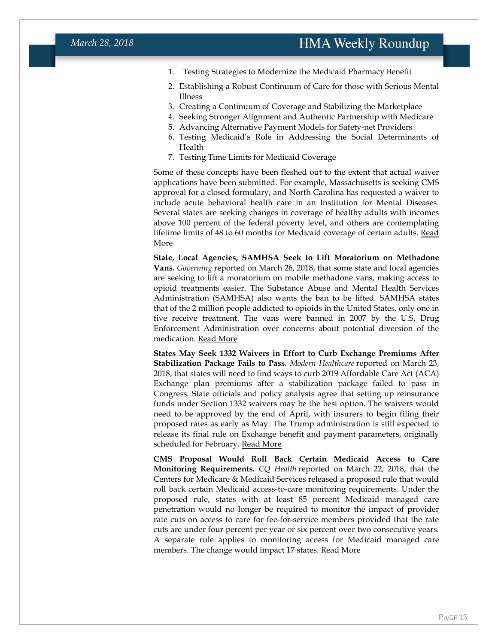- 1. Testing Strategies to Modernize the Medicaid Pharmacy Benefit
- 2. Establishing a Robust Continuum of Care for those with Serious Mental Illness
- 3. Creating a Continuum of Coverage and Stabilizing the Marketplace
- 4. Seeking Stronger Alignment and Authentic Partnership with Medicare
- 5. Advancing Alternative Payment Models for Safety-net Providers
- 6. Testing Medicaid's Role in Addressing the Social Determinants of Health
- 7. Testing Time Limits for Medicaid Coverage

Some of these concepts have been fleshed out to the extent that actual waiver applications have been submitted. For example, Massachusetts is seeking CMS approval for a closed formulary, and North Carolina has requested a waiver to include acute behavioral health care in an Institution for Mental Diseases. Several states are seeking changes in coverage of healthy adults with incomes above 100 percent of the federal poverty level, and others are contemplating lifetime limits of 48 to 60 months for Medicaid coverage of certain adults. [Read](http://medicaiddirectors.org/publications/medicaid-section-1115-waiver-trends-in-an-era-of-state-flexibility/)  [More](http://medicaiddirectors.org/publications/medicaid-section-1115-waiver-trends-in-an-era-of-state-flexibility/)

**State, Local Agencies, SAMHSA Seek to Lift Moratorium on Methadone Vans.** *Governing* reported on March 26, 2018, that some state and local agencies are seeking to lift a moratorium on mobile methadone vans, making access to opioid treatments easier. The Substance Abuse and Mental Health Services Administration (SAMHSA) also wants the ban to be lifted. SAMHSA states that of the 2 million people addicted to opioids in the United States, only one in five receive treatment. The vans were banned in 2007 by the U.S. Drug Enforcement Administration over concerns about potential diversion of the medication. [Read More](http://www.governing.com/topics/health-human-services/sl-methadone-van.html)

**States May Seek 1332 Waivers in Effort to Curb Exchange Premiums After Stabilization Package Fails to Pass.** *Modern Healthcare* reported on March 23, 2018, that states will need to find ways to curb 2019 Affordable Care Act (ACA) Exchange plan premiums after a stabilization package failed to pass in Congress. State officials and policy analysts agree that setting up reinsurance funds under Section 1332 waivers may be the best option. The waivers would need to be approved by the end of April, with insurers to begin filing their proposed rates as early as May. The Trump administration is still expected to release its final rule on Exchange benefit and payment parameters, originally scheduled for February. [Read More](http://www.modernhealthcare.com/article/20180323/NEWS/180329946)

**CMS Proposal Would Roll Back Certain Medicaid Access to Care Monitoring Requirements.** *CQ Health* reported on March 22, 2018, that the Centers for Medicare & Medicaid Services released a proposed rule that would roll back certain Medicaid access-to-care monitoring requirements. Under the proposed rule, states with at least 85 percent Medicaid managed care penetration would no longer be required to monitor the impact of provider rate cuts on access to care for fee-for-service members provided that the rate cuts are under four percent per year or six percent over two consecutive years. A separate rule applies to monitoring access for Medicaid managed care members. The change would impact 17 states. [Read More](https://plus.cq.com/login?jumpto=http%3A%2F%2Fplus.cq.com%2Fdoc%2Fhbnews-5288448%3Futm_medium%3Dnewsletter%26utm_source%3Dhbmorning)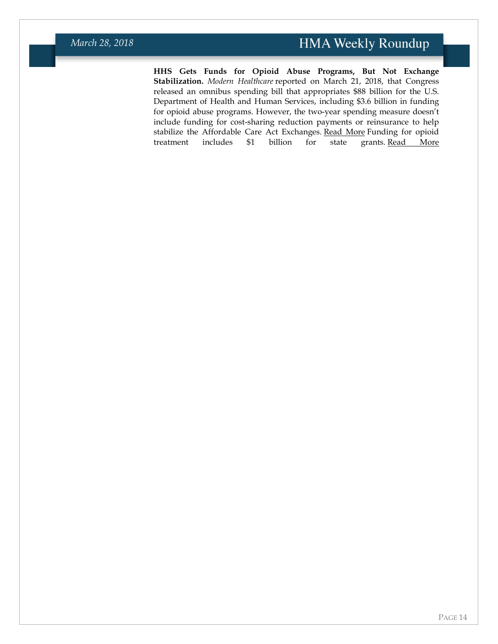**HHS Gets Funds for Opioid Abuse Programs, But Not Exchange Stabilization.** *Modern Healthcare* reported on March 21, 2018, that Congress released an omnibus spending bill that appropriates \$88 billion for the U.S. Department of Health and Human Services, including \$3.6 billion in funding for opioid abuse programs. However, the two-year spending measure doesn't include funding for cost-sharing reduction payments or reinsurance to help stabilize the Affordable Care Act Exchanges. [Read More](http://www.modernhealthcare.com/article/20180321/NEWS/180329973) Funding for opioid treatment includes \$1 billion for state grants. [Read More](http://www.modernhealthcare.com/article/20180321/NEWS/180329974)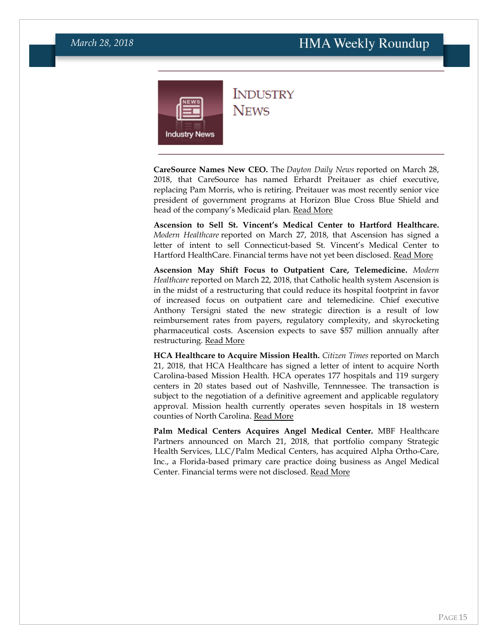<span id="page-14-0"></span>

### **INDUSTRY NEWS**

**CareSource Names New CEO.** The *Dayton Daily News* reported on March 28, 2018, that CareSource has named Erhardt Preitauer as chief executive, replacing Pam Morris, who is retiring. Preitauer was most recently senior vice president of government programs at Horizon Blue Cross Blue Shield and head of the company's Medicaid plan. [Read More](https://www.daytondailynews.com/business/caresource-names-new-ceo-replacing-morris/O9bn1DL7c1kb40t1tRAIAP/)

**Ascension to Sell St. Vincent's Medical Center to Hartford Healthcare.** *Modern Healthcare* reported on March 27, 2018, that Ascension has signed a letter of intent to sell Connecticut-based St. Vincent's Medical Center to Hartford HealthCare. Financial terms have not yet been disclosed. [Read More](http://www.modernhealthcare.com/article/20180327/NEWS/180329921)

**Ascension May Shift Focus to Outpatient Care, Telemedicine.** *Modern Healthcare* reported on March 22, 2018, that Catholic health system Ascension is in the midst of a restructuring that could reduce its hospital footprint in favor of increased focus on outpatient care and telemedicine. Chief executive Anthony Tersigni stated the new strategic direction is a result of low reimbursement rates from payers, regulatory complexity, and skyrocketing pharmaceutical costs. Ascension expects to save \$57 million annually after restructuring. [Read More](http://www.modernhealthcare.com/article/20180322/NEWS/180329953)

**HCA Healthcare to Acquire Mission Health.** *Citizen Times* reported on March 21, 2018, that HCA Healthcare has signed a letter of intent to acquire North Carolina-based Mission Health. HCA operates 177 hospitals and 119 surgery centers in 20 states based out of Nashville, Tennnessee. The transaction is subject to the negotiation of a definitive agreement and applicable regulatory approval. Mission health currently operates seven hospitals in 18 western counties of North Carolina. [Read More](https://www.citizen-times.com/story/news/local/2018/03/21/mission-health-acquired-merger-hospital-corporation-america/447442002/)

**Palm Medical Centers Acquires Angel Medical Center.** MBF Healthcare Partners announced on March 21, 2018, that portfolio company Strategic Health Services, LLC/Palm Medical Centers, has acquired Alpha Ortho-Care, Inc., a Florida-based primary care practice doing business as Angel Medical Center. Financial terms were not disclosed. [Read More](https://www.businesswire.com/news/home/20180321005690/en/Strategic-Health-Services-LLC-dba-Palm-Medical)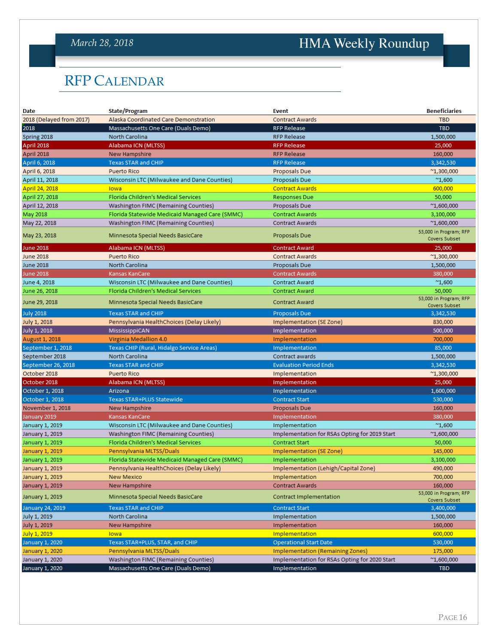### *March 28, 2018*

# HMA Weekly Roundup

# <span id="page-15-0"></span>RFP CALENDAR

| Date                     | State/Program                                  | Event                                         | <b>Beneficiaries</b>                           |
|--------------------------|------------------------------------------------|-----------------------------------------------|------------------------------------------------|
| 2018 (Delayed from 2017) | Alaska Coordinated Care Demonstration          | <b>Contract Awards</b>                        | <b>TBD</b>                                     |
| 2018                     | Massachusetts One Care (Duals Demo)            | <b>RFP Release</b>                            | <b>TBD</b>                                     |
| Spring 2018              | North Carolina                                 | <b>RFP Release</b>                            | 1,500,000                                      |
| April 2018               | Alabama ICN (MLTSS)                            | <b>RFP Release</b>                            | 25,000                                         |
| April 2018               | New Hampshire                                  | <b>RFP Release</b>                            | 160,000                                        |
| April 6, 2018            | <b>Texas STAR and CHIP</b>                     | <b>RFP Release</b>                            | 3,342,530                                      |
| April 6, 2018            | <b>Puerto Rico</b>                             | Proposals Due                                 | $^{\sim}$ 1,300,000                            |
| April 11, 2018           | Wisconsin LTC (Milwaukee and Dane Counties)    | Proposals Due                                 | $^{\prime\prime}1,600$                         |
| April 24, 2018           | lowa                                           | <b>Contract Awards</b>                        | 600,000                                        |
| April 27, 2018           | Florida Children's Medical Services            | <b>Responses Due</b>                          | 50,000                                         |
| April 12, 2018           | Washington FIMC (Remaining Counties)           | Proposals Due                                 | $^{\sim}$ 1,600,000                            |
| May 2018                 | Florida Statewide Medicaid Managed Care (SMMC) | <b>Contract Awards</b>                        | 3,100,000                                      |
| May 22, 2018             | Washington FIMC (Remaining Counties)           | <b>Contract Awards</b>                        | $^{\prime\prime}1,600,000$                     |
| May 23, 2018             | Minnesota Special Needs BasicCare              | Proposals Due                                 | 53,000 in Program; RFP<br><b>Covers Subset</b> |
| <b>June 2018</b>         | Alabama ICN (MLTSS)                            | <b>Contract Award</b>                         | 25,000                                         |
| <b>June 2018</b>         | <b>Puerto Rico</b>                             | <b>Contract Awards</b>                        | $^{\prime\prime}1,300,000$                     |
| <b>June 2018</b>         | <b>North Carolina</b>                          | Proposals Due                                 | 1,500,000                                      |
| <b>June 2018</b>         | Kansas KanCare                                 | <b>Contract Awards</b>                        | 380,000                                        |
| June 4, 2018             | Wisconsin LTC (Milwaukee and Dane Counties)    | <b>Contract Award</b>                         | $^{\sim}1,600$                                 |
| June 26, 2018            | Florida Children's Medical Services            | <b>Contract Award</b>                         | 50,000                                         |
| June 29, 2018            | Minnesota Special Needs BasicCare              | <b>Contract Award</b>                         | 53,000 in Program; RFP<br>Covers Subset        |
| <b>July 2018</b>         | <b>Texas STAR and CHIP</b>                     | <b>Proposals Due</b>                          | 3,342,530                                      |
| July 1, 2018             | Pennsylvania HealthChoices (Delay Likely)      | Implementation (SE Zone)                      | 830,000                                        |
| July 1, 2018             | MississippiCAN                                 | Implementation                                | 500,000                                        |
| August 1, 2018           | Virginia Medallion 4.0                         | Implementation                                | 700,000                                        |
| September 1, 2018        | Texas CHIP (Rural, Hidalgo Service Areas)      | Implementation                                | 85,000                                         |
| September 2018           | <b>North Carolina</b>                          | Contract awards                               | 1,500,000                                      |
| September 26, 2018       | <b>Texas STAR and CHIP</b>                     | <b>Evaluation Period Ends</b>                 | 3,342,530                                      |
| October 2018             | <b>Puerto Rico</b>                             | Implementation                                | $^{\sim}$ 1,300,000                            |
| October 2018             | Alabama ICN (MLTSS)                            | Implementation                                | 25,000                                         |
| October 1, 2018          | Arizona                                        | Implementation                                | 1,600,000                                      |
| October 1, 2018          | Texas STAR+PLUS Statewide                      | <b>Contract Start</b>                         | 530,000                                        |
| November 1, 2018         | New Hampshire                                  | Proposals Due                                 | 160,000                                        |
| January 2019             | Kansas KanCare                                 | Implementation                                | 380,000                                        |
| January 1, 2019          | Wisconsin LTC (Milwaukee and Dane Counties)    | Implementation                                | $^{\prime\prime}1,600$                         |
| January 1, 2019          | Washington FIMC (Remaining Counties)           | Implementation for RSAs Opting for 2019 Start | $^{\sim}1,600,000$                             |
| January 1, 2019          | Florida Children's Medical Services            | <b>Contract Start</b>                         | 50,000                                         |
| January 1, 2019          | Pennsylvania MLTSS/Duals                       | Implementation (SE Zone)                      | 145,000                                        |
| January 1, 2019          | Florida Statewide Medicaid Managed Care (SMMC) | Implementation                                | 3,100,000                                      |
| January 1, 2019          | Pennsylvania HealthChoices (Delay Likely)      | Implementation (Lehigh/Capital Zone)          | 490,000                                        |
| January 1, 2019          | New Mexico                                     | Implementation                                | 700,000                                        |
| January 1, 2019          | New Hampshire                                  | <b>Contract Awards</b>                        | 160,000                                        |
| January 1, 2019          | Minnesota Special Needs BasicCare              | Contract Implementation                       | 53,000 in Program; RFP<br>Covers Subset        |
| January 24, 2019         | <b>Texas STAR and CHIP</b>                     | <b>Contract Start</b>                         | 3,400,000                                      |
| July 1, 2019             | North Carolina                                 | Implementation                                | 1,500,000                                      |
| July 1, 2019             | New Hampshire                                  | Implementation                                | 160,000                                        |
| July 1, 2019             | <b>Towa Contract Contract Contract</b>         | Implementation                                | 600,000                                        |
| January 1, 2020          | Texas STAR+PLUS, STAR, and CHIP                | <b>Operational Start Date</b>                 | 530,000                                        |
| January 1, 2020          | Pennsylvania MLTSS/Duals                       | <b>Implementation (Remaining Zones)</b>       | 175,000                                        |
| January 1, 2020          | Washington FIMC (Remaining Counties)           | Implementation for RSAs Opting for 2020 Start | $^{\sim}1,600,000$                             |
| January 1, 2020          | Massachusetts One Care (Duals Demo)            | Implementation                                | <b>TBD</b>                                     |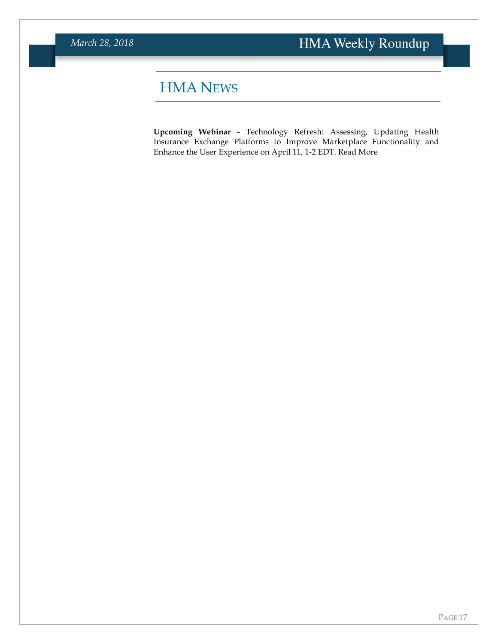# <span id="page-16-0"></span>HMA NEWS

**Upcoming Webinar** - Technology Refresh: Assessing, Updating Health Insurance Exchange Platforms to Improve Marketplace Functionality and Enhance the User Experience on April 11, 1-2 EDT. [Read More](https://www.healthmanagement.com/knowledge-share/webinars/technology-refresh-assessing-updating-health-insurance-exchange-platforms-improve-marketplace-functionality-enhance-user-experience/)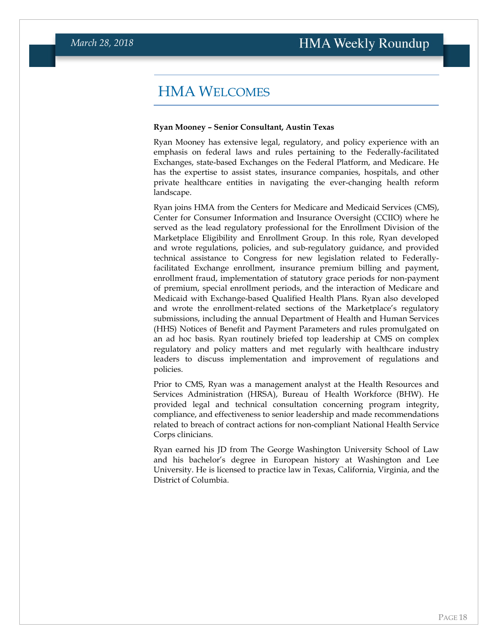## <span id="page-17-0"></span>HMA WELCOMES

#### **Ryan Mooney – Senior Consultant, Austin Texas**

Ryan Mooney has extensive legal, regulatory, and policy experience with an emphasis on federal laws and rules pertaining to the Federally-facilitated Exchanges, state-based Exchanges on the Federal Platform, and Medicare. He has the expertise to assist states, insurance companies, hospitals, and other private healthcare entities in navigating the ever-changing health reform landscape.

Ryan joins HMA from the Centers for Medicare and Medicaid Services (CMS), Center for Consumer Information and Insurance Oversight (CCIIO) where he served as the lead regulatory professional for the Enrollment Division of the Marketplace Eligibility and Enrollment Group. In this role, Ryan developed and wrote regulations, policies, and sub-regulatory guidance, and provided technical assistance to Congress for new legislation related to Federallyfacilitated Exchange enrollment, insurance premium billing and payment, enrollment fraud, implementation of statutory grace periods for non-payment of premium, special enrollment periods, and the interaction of Medicare and Medicaid with Exchange-based Qualified Health Plans. Ryan also developed and wrote the enrollment-related sections of the Marketplace's regulatory submissions, including the annual Department of Health and Human Services (HHS) Notices of Benefit and Payment Parameters and rules promulgated on an ad hoc basis. Ryan routinely briefed top leadership at CMS on complex regulatory and policy matters and met regularly with healthcare industry leaders to discuss implementation and improvement of regulations and policies.

Prior to CMS, Ryan was a management analyst at the Health Resources and Services Administration (HRSA), Bureau of Health Workforce (BHW). He provided legal and technical consultation concerning program integrity, compliance, and effectiveness to senior leadership and made recommendations related to breach of contract actions for non-compliant National Health Service Corps clinicians.

Ryan earned his JD from The George Washington University School of Law and his bachelor's degree in European history at Washington and Lee University. He is licensed to practice law in Texas, California, Virginia, and the District of Columbia.